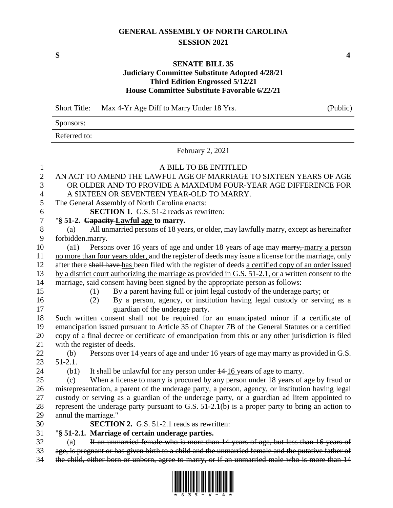## **GENERAL ASSEMBLY OF NORTH CAROLINA SESSION 2021**

## **SENATE BILL 35**

## **Judiciary Committee Substitute Adopted 4/28/21 Third Edition Engrossed 5/12/21 House Committee Substitute Favorable 6/22/21**

Short Title: Max 4-Yr Age Diff to Marry Under 18 Yrs. (Public)

Sponsors:

Referred to:

February 2, 2021

| $\mathbf{1}$     | A BILL TO BE ENTITLED                                                                                             |
|------------------|-------------------------------------------------------------------------------------------------------------------|
| $\overline{2}$   | AN ACT TO AMEND THE LAWFUL AGE OF MARRIAGE TO SIXTEEN YEARS OF AGE                                                |
| 3                | OR OLDER AND TO PROVIDE A MAXIMUM FOUR-YEAR AGE DIFFERENCE FOR                                                    |
| $\overline{4}$   | A SIXTEEN OR SEVENTEEN YEAR-OLD TO MARRY.                                                                         |
| 5                | The General Assembly of North Carolina enacts:                                                                    |
| $\boldsymbol{6}$ | <b>SECTION 1.</b> G.S. 51-2 reads as rewritten:                                                                   |
| $\overline{7}$   | "§ 51-2. Capacity-Lawful age to marry.                                                                            |
| $8\,$            | All unmarried persons of 18 years, or older, may lawfully marry, except as hereinafter<br>(a)                     |
| 9                | forbidden.marry.                                                                                                  |
| 10               | Persons over 16 years of age and under 18 years of age may marry, marry a person<br>$\left( a1\right)$            |
| 11               | no more than four years older, and the register of deeds may issue a license for the marriage, only               |
| 12               | after there shall have has been filed with the register of deeds a certified copy of an order issued              |
| 13               | by a district court authorizing the marriage as provided in G.S. 51-2.1, or a written consent to the              |
| 14               | marriage, said consent having been signed by the appropriate person as follows:                                   |
| 15               | By a parent having full or joint legal custody of the underage party; or<br>(1)                                   |
| 16               | By a person, agency, or institution having legal custody or serving as a<br>(2)                                   |
| 17               | guardian of the underage party.                                                                                   |
| 18               | Such written consent shall not be required for an emancipated minor if a certificate of                           |
| 19               | emancipation issued pursuant to Article 35 of Chapter 7B of the General Statutes or a certified                   |
| 20               | copy of a final decree or certificate of emancipation from this or any other jurisdiction is filed                |
| 21               | with the register of deeds.                                                                                       |
| 22               | Persons over 14 years of age and under 16 years of age may marry as provided in G.S.<br>$\left(\mathbf{b}\right)$ |
| 23               | $51 - 2.1.$                                                                                                       |
| 24               | It shall be unlawful for any person under $14-16$ years of age to marry.<br>(b1)                                  |
| 25               | When a license to marry is procured by any person under 18 years of age by fraud or<br>(c)                        |
| 26               | misrepresentation, a parent of the underage party, a person, agency, or institution having legal                  |
| 27               | custody or serving as a guardian of the underage party, or a guardian ad litem appointed to                       |
| 28               | represent the underage party pursuant to G.S. $51-2.1(b)$ is a proper party to bring an action to                 |
| 29               | annul the marriage."                                                                                              |
| 30               | <b>SECTION 2.</b> G.S. 51-2.1 reads as rewritten:                                                                 |
| 31               | "§ 51-2.1. Marriage of certain underage parties.                                                                  |
| 32               | If an unmarried female who is more than 14 years of age, but less than 16 years of<br>(a)                         |
| 33               | age, is pregnant or has given birth to a child and the unmarried female and the putative father of                |





**S 4**